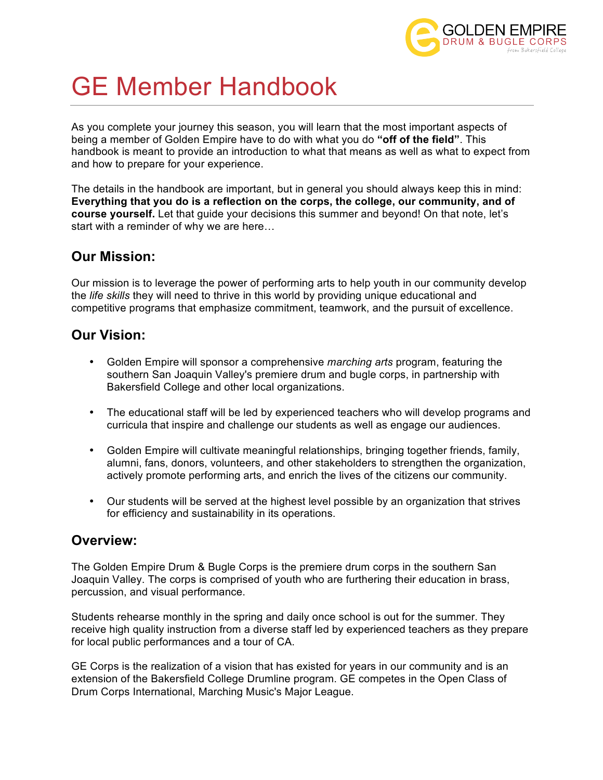

# GE Member Handbook

As you complete your journey this season, you will learn that the most important aspects of being a member of Golden Empire have to do with what you do **"off of the field"**. This handbook is meant to provide an introduction to what that means as well as what to expect from and how to prepare for your experience.

The details in the handbook are important, but in general you should always keep this in mind: **Everything that you do is a reflection on the corps, the college, our community, and of course yourself.** Let that guide your decisions this summer and beyond! On that note, let's start with a reminder of why we are here…

## **Our Mission:**

Our mission is to leverage the power of performing arts to help youth in our community develop the *life skills* they will need to thrive in this world by providing unique educational and competitive programs that emphasize commitment, teamwork, and the pursuit of excellence.

## **Our Vision:**

- Golden Empire will sponsor a comprehensive *marching arts* program, featuring the southern San Joaquin Valley's premiere drum and bugle corps, in partnership with Bakersfield College and other local organizations.
- The educational staff will be led by experienced teachers who will develop programs and curricula that inspire and challenge our students as well as engage our audiences.
- Golden Empire will cultivate meaningful relationships, bringing together friends, family, alumni, fans, donors, volunteers, and other stakeholders to strengthen the organization, actively promote performing arts, and enrich the lives of the citizens our community.
- Our students will be served at the highest level possible by an organization that strives for efficiency and sustainability in its operations.

## **Overview:**

The Golden Empire Drum & Bugle Corps is the premiere drum corps in the southern San Joaquin Valley. The corps is comprised of youth who are furthering their education in brass, percussion, and visual performance.

Students rehearse monthly in the spring and daily once school is out for the summer. They receive high quality instruction from a diverse staff led by experienced teachers as they prepare for local public performances and a tour of CA.

GE Corps is the realization of a vision that has existed for years in our community and is an extension of the Bakersfield College Drumline program. GE competes in the Open Class of Drum Corps International, Marching Music's Major League.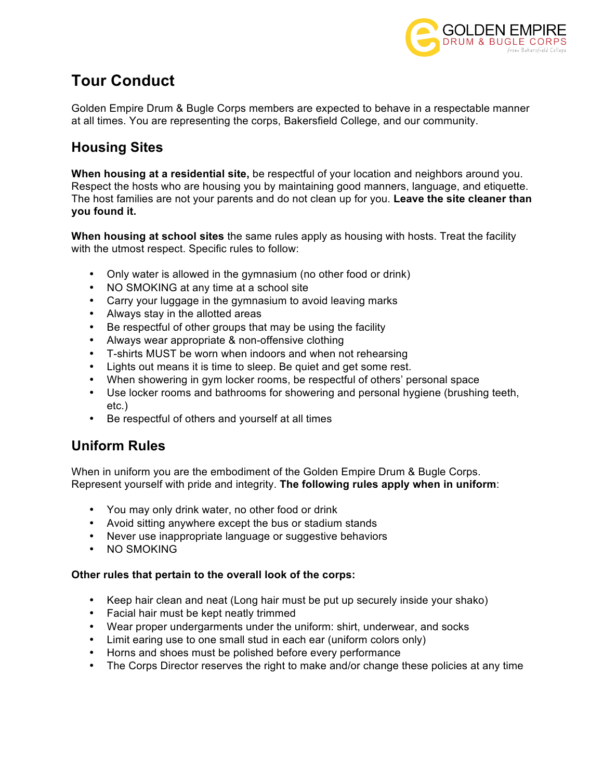

## **Tour Conduct**

Golden Empire Drum & Bugle Corps members are expected to behave in a respectable manner at all times. You are representing the corps, Bakersfield College, and our community.

## **Housing Sites**

**When housing at a residential site,** be respectful of your location and neighbors around you. Respect the hosts who are housing you by maintaining good manners, language, and etiquette. The host families are not your parents and do not clean up for you. **Leave the site cleaner than you found it.**

**When housing at school sites** the same rules apply as housing with hosts. Treat the facility with the utmost respect. Specific rules to follow:

- Only water is allowed in the gymnasium (no other food or drink)
- NO SMOKING at any time at a school site
- Carry your luggage in the gymnasium to avoid leaving marks
- Always stay in the allotted areas
- Be respectful of other groups that may be using the facility
- Always wear appropriate & non-offensive clothing
- T-shirts MUST be worn when indoors and when not rehearsing
- Lights out means it is time to sleep. Be quiet and get some rest.
- When showering in gym locker rooms, be respectful of others' personal space
- Use locker rooms and bathrooms for showering and personal hygiene (brushing teeth, etc.)
- Be respectful of others and yourself at all times

## **Uniform Rules**

When in uniform you are the embodiment of the Golden Empire Drum & Bugle Corps. Represent yourself with pride and integrity. **The following rules apply when in uniform**:

- You may only drink water, no other food or drink
- Avoid sitting anywhere except the bus or stadium stands
- Never use inappropriate language or suggestive behaviors
- NO SMOKING

#### **Other rules that pertain to the overall look of the corps:**

- Keep hair clean and neat (Long hair must be put up securely inside your shako)
- Facial hair must be kept neatly trimmed
- Wear proper undergarments under the uniform: shirt, underwear, and socks
- Limit earing use to one small stud in each ear (uniform colors only)
- Horns and shoes must be polished before every performance
- The Corps Director reserves the right to make and/or change these policies at any time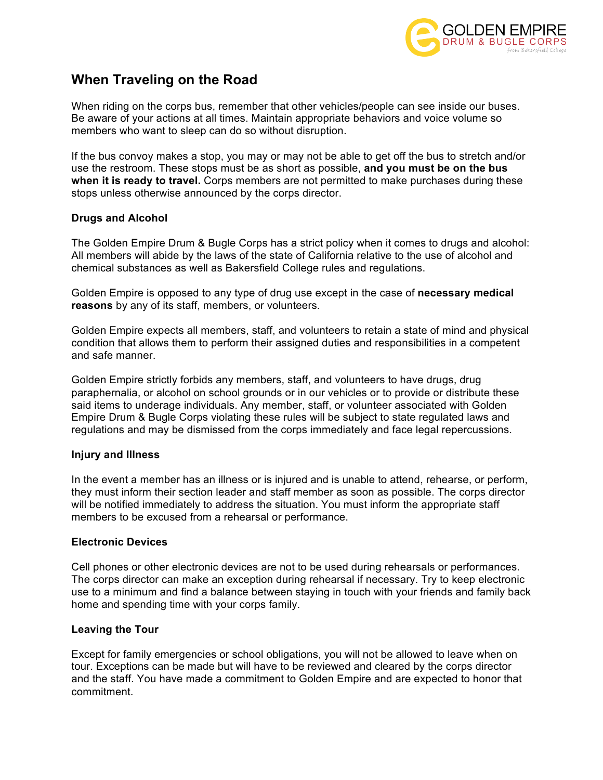

## **When Traveling on the Road**

When riding on the corps bus, remember that other vehicles/people can see inside our buses. Be aware of your actions at all times. Maintain appropriate behaviors and voice volume so members who want to sleep can do so without disruption.

If the bus convoy makes a stop, you may or may not be able to get off the bus to stretch and/or use the restroom. These stops must be as short as possible, **and you must be on the bus when it is ready to travel.** Corps members are not permitted to make purchases during these stops unless otherwise announced by the corps director.

#### **Drugs and Alcohol**

The Golden Empire Drum & Bugle Corps has a strict policy when it comes to drugs and alcohol: All members will abide by the laws of the state of California relative to the use of alcohol and chemical substances as well as Bakersfield College rules and regulations.

Golden Empire is opposed to any type of drug use except in the case of **necessary medical reasons** by any of its staff, members, or volunteers.

Golden Empire expects all members, staff, and volunteers to retain a state of mind and physical condition that allows them to perform their assigned duties and responsibilities in a competent and safe manner.

Golden Empire strictly forbids any members, staff, and volunteers to have drugs, drug paraphernalia, or alcohol on school grounds or in our vehicles or to provide or distribute these said items to underage individuals. Any member, staff, or volunteer associated with Golden Empire Drum & Bugle Corps violating these rules will be subject to state regulated laws and regulations and may be dismissed from the corps immediately and face legal repercussions.

#### **Injury and Illness**

In the event a member has an illness or is injured and is unable to attend, rehearse, or perform, they must inform their section leader and staff member as soon as possible. The corps director will be notified immediately to address the situation. You must inform the appropriate staff members to be excused from a rehearsal or performance.

#### **Electronic Devices**

Cell phones or other electronic devices are not to be used during rehearsals or performances. The corps director can make an exception during rehearsal if necessary. Try to keep electronic use to a minimum and find a balance between staying in touch with your friends and family back home and spending time with your corps family.

#### **Leaving the Tour**

Except for family emergencies or school obligations, you will not be allowed to leave when on tour. Exceptions can be made but will have to be reviewed and cleared by the corps director and the staff. You have made a commitment to Golden Empire and are expected to honor that commitment.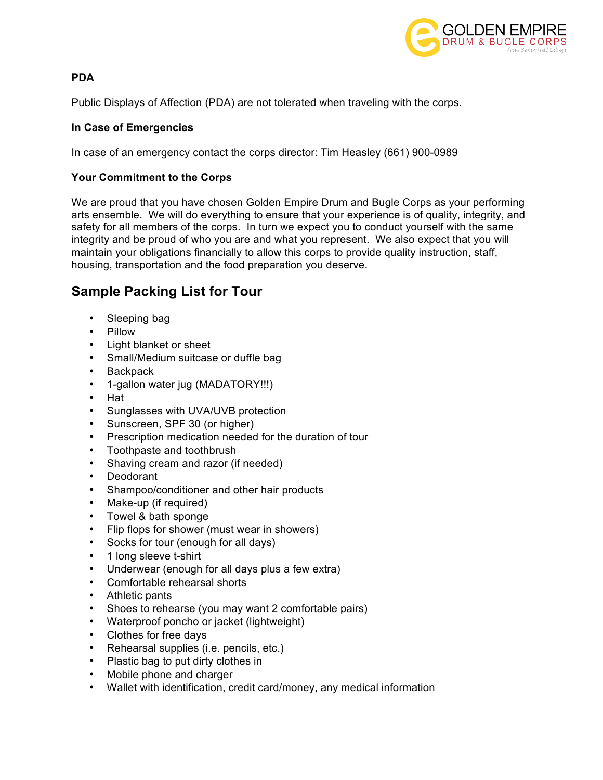

#### **PDA**

Public Displays of Affection (PDA) are not tolerated when traveling with the corps.

#### **In Case of Emergencies**

In case of an emergency contact the corps director: Tim Heasley (661) 900-0989

#### **Your Commitment to the Corps**

We are proud that you have chosen Golden Empire Drum and Bugle Corps as your performing arts ensemble. We will do everything to ensure that your experience is of quality, integrity, and safety for all members of the corps. In turn we expect you to conduct yourself with the same integrity and be proud of who you are and what you represent. We also expect that you will maintain your obligations financially to allow this corps to provide quality instruction, staff, housing, transportation and the food preparation you deserve.

## **Sample Packing List for Tour**

- Sleeping bag
- Pillow
- Light blanket or sheet
- Small/Medium suitcase or duffle bag
- Backpack
- 1-gallon water jug (MADATORY!!!)
- Hat
- Sunglasses with UVA/UVB protection
- Sunscreen, SPF 30 (or higher)
- Prescription medication needed for the duration of tour
- Toothpaste and toothbrush
- Shaving cream and razor (if needed)
- **Deodorant**
- Shampoo/conditioner and other hair products
- Make-up (if required)
- Towel & bath sponge
- Flip flops for shower (must wear in showers)
- Socks for tour (enough for all days)
- 1 long sleeve t-shirt
- Underwear (enough for all days plus a few extra)
- Comfortable rehearsal shorts
- Athletic pants
- Shoes to rehearse (you may want 2 comfortable pairs)
- Waterproof poncho or jacket (lightweight)
- Clothes for free days
- Rehearsal supplies (i.e. pencils, etc.)
- Plastic bag to put dirty clothes in
- Mobile phone and charger
- Wallet with identification, credit card/money, any medical information